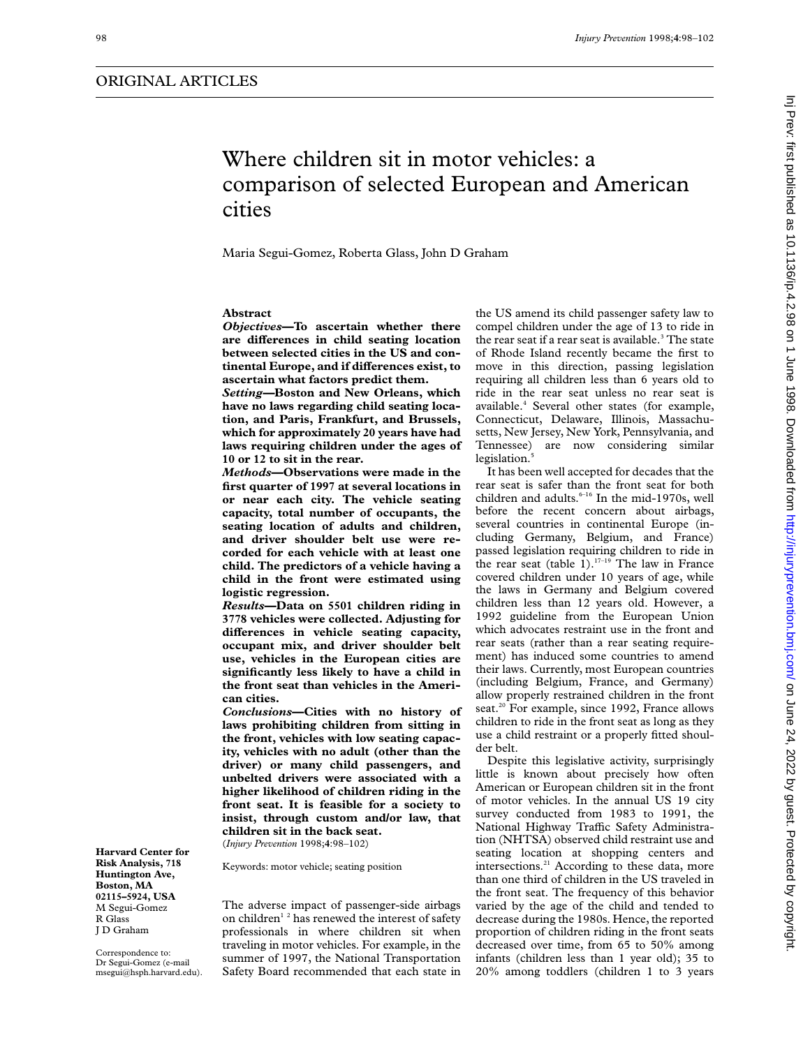# Where children sit in motor vehicles: a comparison of selected European and American cities

Maria Segui-Gomez, Roberta Glass, John D Graham

## **Abstract**

*Objectives***—To ascertain whether there** are differences in child seating location **between selected cities in the US and continental Europe, and if differences exist, to ascertain what factors predict them.**

*Setting—***Boston and New Orleans, which have no laws regarding child seating location, and Paris, Frankfurt, and Brussels, which for approximately 20 years have had laws requiring children under the ages of 10 or 12 to sit in the rear.**

*Methods***—Observations were made in the first quarter of 1997 at several locations in or near each city. The vehicle seating capacity, total number of occupants, the seating location of adults and children, and driver shoulder belt use were recorded for each vehicle with at least one child. The predictors of a vehicle having a child in the front were estimated using logistic regression.**

*Results***—Data on 5501 children riding in 3778 vehicles were collected. Adjusting for** differences in vehicle seating capacity, **occupant mix, and driver shoulder belt use, vehicles in the European cities are significantly less likely to have a child in the front seat than vehicles in the American cities.**

*Conclusions***—Cities with no history of laws prohibiting children from sitting in the front, vehicles with low seating capacity, vehicles with no adult (other than the driver) or many child passengers, and unbelted drivers were associated with a higher likelihood of children riding in the front seat. It is feasible for a society to insist, through custom and/or law, that children sit in the back seat.** (*Injury Prevention* 1998;**4**:98–102)

Keywords: motor vehicle; seating position

**Risk Analysis, 718 Huntington Ave, Boston, MA 02115–5924, USA** M Segui-Gomez R Glass J D Graham

**Harvard Center for**

Correspondence to: Dr Segui-Gomez (e-mail msegui@hsph.harvard.edu).

The adverse impact of passenger-side airbags on children<sup>12</sup> has renewed the interest of safety professionals in where children sit when traveling in motor vehicles. For example, in the summer of 1997, the National Transportation Safety Board recommended that each state in

the US amend its child passenger safety law to compel children under the age of 13 to ride in the rear seat if a rear seat is available.<sup>3</sup> The state of Rhode Island recently became the first to move in this direction, passing legislation requiring all children less than 6 years old to ride in the rear seat unless no rear seat is available.4 Several other states (for example, Connecticut, Delaware, Illinois, Massachusetts, New Jersey, New York, Pennsylvania, and Tennessee) are now considering similar legislation.<sup>5</sup>

It has been well accepted for decades that the rear seat is safer than the front seat for both children and adults.<sup>6-16</sup> In the mid-1970s, well before the recent concern about airbags, several countries in continental Europe (including Germany, Belgium, and France) passed legislation requiring children to ride in the rear seat (table  $1$ ).<sup>17-19</sup> The law in France covered children under 10 years of age, while the laws in Germany and Belgium covered children less than 12 years old. However, a 1992 guideline from the European Union which advocates restraint use in the front and rear seats (rather than a rear seating requirement) has induced some countries to amend their laws. Currently, most European countries (including Belgium, France, and Germany) allow properly restrained children in the front seat.<sup>20</sup> For example, since 1992, France allows children to ride in the front seat as long as they use a child restraint or a properly fitted shoulder belt.

Despite this legislative activity, surprisingly little is known about precisely how often American or European children sit in the front of motor vehicles. In the annual US 19 city survey conducted from 1983 to 1991, the National Highway Traffic Safety Administration (NHTSA) observed child restraint use and seating location at shopping centers and intersections.<sup>21</sup> According to these data, more than one third of children in the US traveled in the front seat. The frequency of this behavior varied by the age of the child and tended to decrease during the 1980s. Hence, the reported proportion of children riding in the front seats decreased over time, from 65 to 50% among infants (children less than 1 year old); 35 to 20% among toddlers (children 1 to 3 years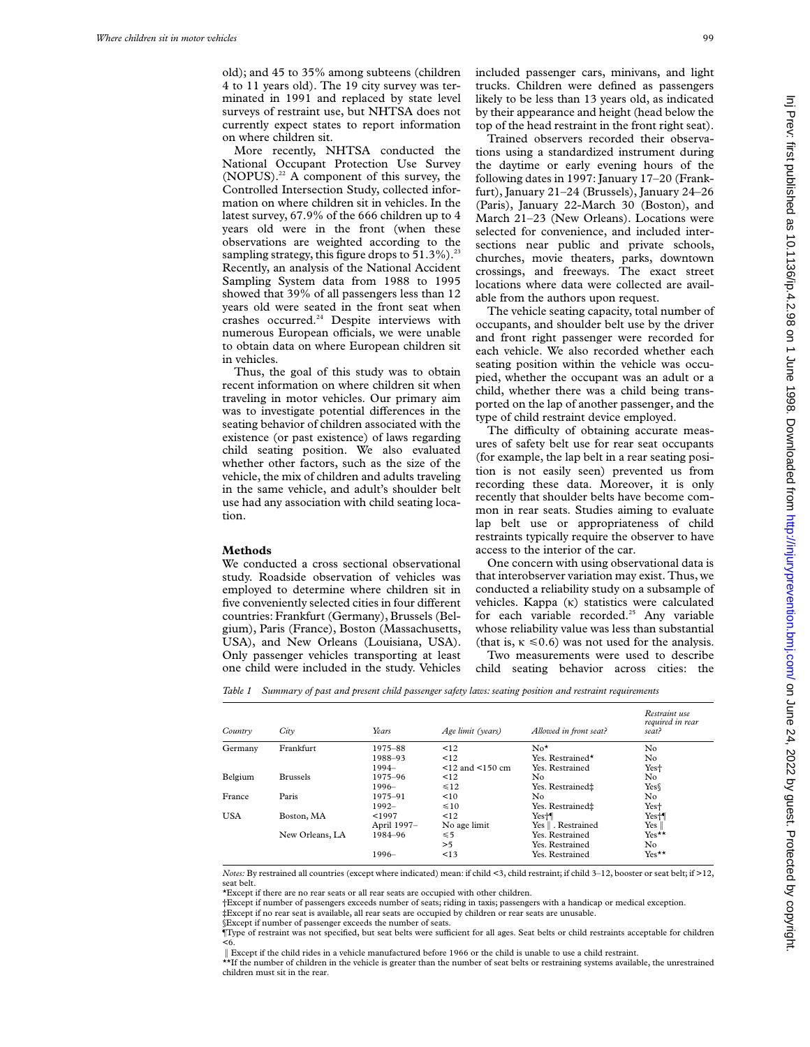old); and 45 to 35% among subteens (children 4 to 11 years old). The 19 city survey was terminated in 1991 and replaced by state level surveys of restraint use, but NHTSA does not currently expect states to report information on where children sit.

More recently, NHTSA conducted the National Occupant Protection Use Survey  $(NOPUS).<sup>22</sup>$  A component of this survey, the Controlled Intersection Study, collected information on where children sit in vehicles. In the latest survey, 67.9% of the 666 children up to 4 years old were in the front (when these observations are weighted according to the sampling strategy, this figure drops to  $51.3\%$ ).<sup>23</sup> Recently, an analysis of the National Accident Sampling System data from 1988 to 1995 showed that 39% of all passengers less than 12 years old were seated in the front seat when crashes occurred.<sup>24</sup> Despite interviews with numerous European officials, we were unable to obtain data on where European children sit in vehicles.

Thus, the goal of this study was to obtain recent information on where children sit when traveling in motor vehicles. Our primary aim was to investigate potential differences in the seating behavior of children associated with the existence (or past existence) of laws regarding child seating position. We also evaluated whether other factors, such as the size of the vehicle, the mix of children and adults traveling in the same vehicle, and adult's shoulder belt use had any association with child seating location.

#### **Methods**

We conducted a cross sectional observational study. Roadside observation of vehicles was employed to determine where children sit in five conveniently selected cities in four different countries: Frankfurt (Germany), Brussels (Belgium), Paris (France), Boston (Massachusetts, USA), and New Orleans (Louisiana, USA). Only passenger vehicles transporting at least one child were included in the study. Vehicles

included passenger cars, minivans, and light trucks. Children were defined as passengers likely to be less than 13 years old, as indicated by their appearance and height (head below the top of the head restraint in the front right seat).

Trained observers recorded their observations using a standardized instrument during the daytime or early evening hours of the following dates in 1997: January 17–20 (Frankfurt), January 21–24 (Brussels), January 24–26 (Paris), January 22-March 30 (Boston), and March 21–23 (New Orleans). Locations were selected for convenience, and included intersections near public and private schools, churches, movie theaters, parks, downtown crossings, and freeways. The exact street locations where data were collected are available from the authors upon request.

The vehicle seating capacity, total number of occupants, and shoulder belt use by the driver and front right passenger were recorded for each vehicle. We also recorded whether each seating position within the vehicle was occupied, whether the occupant was an adult or a child, whether there was a child being transported on the lap of another passenger, and the type of child restraint device employed.

The difficulty of obtaining accurate measures of safety belt use for rear seat occupants (for example, the lap belt in a rear seating position is not easily seen) prevented us from recording these data. Moreover, it is only recently that shoulder belts have become common in rear seats. Studies aiming to evaluate lap belt use or appropriateness of child restraints typically require the observer to have access to the interior of the car.

One concern with using observational data is that interobserver variation may exist. Thus, we conducted a reliability study on a subsample of vehicles. Kappa  $(\kappa)$  statistics were calculated for each variable recorded.<sup>25</sup> Any variable whose reliability value was less than substantial (that is,  $\kappa \le 0.6$ ) was not used for the analysis.

Two measurements were used to describe child seating behavior across cities: the

*Table 1 Summary of past and present child passenger safety laws: seating position and restraint requirements*

| Country    | Citv            | Years       | Age limit (years) | Allowed in front seat? | Restraint use<br>required in rear<br>seat? |
|------------|-----------------|-------------|-------------------|------------------------|--------------------------------------------|
| Germany    | Frankfurt       | 1975-88     | $\leq 12$         | $\mathrm{No}^{\star}$  | No                                         |
|            |                 | 1988-93     | <12               | Yes. Restrained*       | No.                                        |
|            |                 | 1994-       | $12$ and $150$ cm | Yes. Restrained        | Yes <sup>+</sup>                           |
| Belgium    | <b>Brussels</b> | 1975-96     | $\leq 12$         | No                     | No.                                        |
|            |                 | $1996-$     | $\leq 12$         | Yes. Restrained±       | Yes                                        |
| France     | Paris           | 1975-91     | < 10              | No                     | No.                                        |
|            |                 | $1992 -$    | $\leq 10$         | Yes. Restrained‡       | Yes <sup>+</sup>                           |
| <b>USA</b> | Boston, MA      | < 1997      | $\leq$ 12         | Yes <sup>+</sup>       | Yes <sup>+</sup>                           |
|            |                 | April 1997- | No age limit      | Yes    . Restrained    | Yes $\parallel$                            |
|            | New Orleans, LA | 1984-96     | $\leq 5$          | Yes. Restrained        | $Yes**$                                    |
|            |                 |             | >5                | Yes. Restrained        | No.                                        |
|            |                 | $1996-$     | <13               | Yes. Restrained        | $Yes**$                                    |

*Notes:* By restrained all countries (except where indicated) mean: if child <3, child restraint; if child 3–12, booster or seat belt; if >12, seat belt.

\*Except if there are no rear seats or all rear seats are occupied with other children.

†Except if number of passengers exceeds number of seats; riding in taxis; passengers with a handicap or medical exception. ‡Except if no rear seat is available, all rear seats are occupied by children or rear seats are unusable.

§Except if number of passenger exceeds the number of seats.

Type of restraint was not specified, but seat belts were sufficient for all ages. Seat belts or child restraints acceptable for children <6.

{Except if the child rides in a vehicle manufactured before 1966 or the child is unable to use a child restraint.

\*\*If the number of children in the vehicle is greater than the number of seat belts or restraining systems available, the unrestrained children must sit in the rear.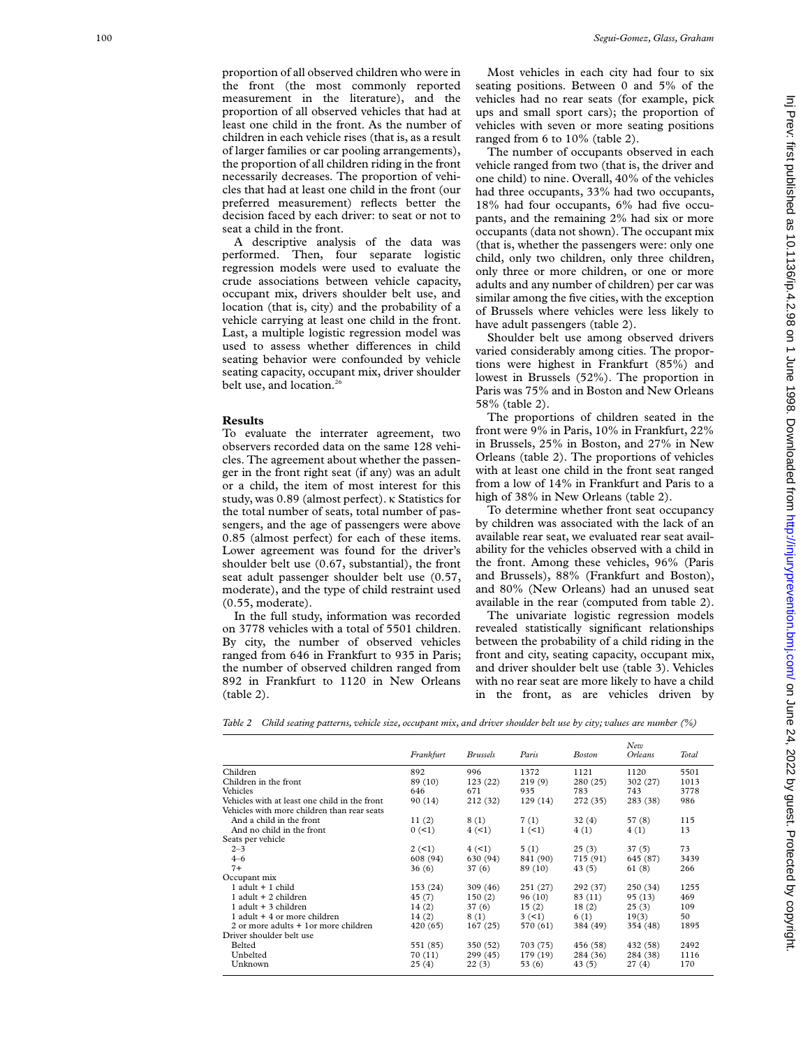proportion of all observed children who were in the front (the most commonly reported measurement in the literature), and the proportion of all observed vehicles that had at least one child in the front. As the number of children in each vehicle rises (that is, as a result of larger families or car pooling arrangements), the proportion of all children riding in the front necessarily decreases. The proportion of vehicles that had at least one child in the front (our preferred measurement) reflects better the decision faced by each driver: to seat or not to seat a child in the front.

A descriptive analysis of the data was performed. Then, four separate logistic regression models were used to evaluate the crude associations between vehicle capacity, occupant mix, drivers shoulder belt use, and location (that is, city) and the probability of a vehicle carrying at least one child in the front. Last, a multiple logistic regression model was used to assess whether differences in child seating behavior were confounded by vehicle seating capacity, occupant mix, driver shoulder belt use, and location.<sup>26</sup>

### **Results**

To evaluate the interrater agreement, two observers recorded data on the same 128 vehicles. The agreement about whether the passenger in the front right seat (if any) was an adult or a child, the item of most interest for this study, was 0.89 (almost perfect). K Statistics for the total number of seats, total number of passengers, and the age of passengers were above 0.85 (almost perfect) for each of these items. Lower agreement was found for the driver's shoulder belt use (0.67, substantial), the front seat adult passenger shoulder belt use (0.57, moderate), and the type of child restraint used (0.55, moderate).

In the full study, information was recorded on 3778 vehicles with a total of 5501 children. By city, the number of observed vehicles ranged from 646 in Frankfurt to 935 in Paris; the number of observed children ranged from 892 in Frankfurt to 1120 in New Orleans (table 2).

Most vehicles in each city had four to six seating positions. Between 0 and 5% of the vehicles had no rear seats (for example, pick ups and small sport cars); the proportion of vehicles with seven or more seating positions ranged from 6 to 10% (table 2).

The number of occupants observed in each vehicle ranged from two (that is, the driver and one child) to nine. Overall, 40% of the vehicles had three occupants, 33% had two occupants, 18% had four occupants, 6% had five occupants, and the remaining 2% had six or more occupants (data not shown). The occupant mix (that is, whether the passengers were: only one child, only two children, only three children, only three or more children, or one or more adults and any number of children) per car was similar among the five cities, with the exception of Brussels where vehicles were less likely to have adult passengers (table 2).

Shoulder belt use among observed drivers varied considerably among cities. The proportions were highest in Frankfurt (85%) and lowest in Brussels (52%). The proportion in Paris was 75% and in Boston and New Orleans 58% (table 2).

The proportions of children seated in the front were 9% in Paris, 10% in Frankfurt, 22% in Brussels, 25% in Boston, and 27% in New Orleans (table 2). The proportions of vehicles with at least one child in the front seat ranged from a low of 14% in Frankfurt and Paris to a high of 38% in New Orleans (table 2).

To determine whether front seat occupancy by children was associated with the lack of an available rear seat, we evaluated rear seat availability for the vehicles observed with a child in the front. Among these vehicles, 96% (Paris and Brussels), 88% (Frankfurt and Boston), and 80% (New Orleans) had an unused seat available in the rear (computed from table 2).

The univariate logistic regression models revealed statistically significant relationships between the probability of a child riding in the front and city, seating capacity, occupant mix, and driver shoulder belt use (table 3). Vehicles with no rear seat are more likely to have a child in the front, as are vehicles driven by

*Table 2 Child seating patterns, vehicle size, occupant mix, and driver shoulder belt use by city; values are number (%)*

|                                               | Frankfurt | <b>Brussels</b> | Paris    | <b>Boston</b> | New<br><b>Orleans</b> | Total |
|-----------------------------------------------|-----------|-----------------|----------|---------------|-----------------------|-------|
| Children                                      | 892       | 996             | 1372     | 1121          | 1120                  | 5501  |
| Children in the front                         | 89 (10)   | 123(22)         | 219(9)   | 280(25)       | 302 (27)              | 1013  |
| Vehicles                                      | 646       | 671             | 935      | 783           | 743                   | 3778  |
| Vehicles with at least one child in the front | 90 (14)   | 212(32)         | 129(14)  | 272 (35)      | 283 (38)              | 986   |
| Vehicles with more children than rear seats   |           |                 |          |               |                       |       |
| And a child in the front                      | 11(2)     | 8(1)            | 7(1)     | 32(4)         | 57 (8)                | 115   |
| And no child in the front                     | 0 (< 1)   | 4 (< 1)         | $1 (-1)$ | 4(1)          | 4(1)                  | 13    |
| Seats per vehicle                             |           |                 |          |               |                       |       |
| $2 - 3$                                       | 2(1)      | 4(1)            | 5(1)     | 25(3)         | 37(5)                 | 73    |
| $4 - 6$                                       | 608 (94)  | 630 (94)        | 841 (90) | 715 (91)      | 645 (87)              | 3439  |
| $7+$                                          | 36(6)     | 37(6)           | 89 (10)  | 43(5)         | 61 (8)                | 266   |
| Occupant mix                                  |           |                 |          |               |                       |       |
| $1$ adult $+1$ child                          | 153(24)   | 309(46)         | 251 (27) | 292 (37)      | 250 (34)              | 1255  |
| 1 adult $+$ 2 children                        | 45 (7)    | 150(2)          | 96 (10)  | 83 (11)       | 95 (13)               | 469   |
| 1 adult $+$ 3 children                        | 14(2)     | 37(6)           | 15(2)    | 18(2)         | 25(3)                 | 109   |
| 1 adult $+4$ or more children                 | 14(2)     | 8(1)            | 3(1)     | 6 (1)         | 19(3)                 | 50    |
| 2 or more adults + 1 or more children         | 420(65)   | 167(25)         | 570 (61) | 384 (49)      | 354 (48)              | 1895  |
| Driver shoulder belt use                      |           |                 |          |               |                       |       |
| Belted                                        | 551 (85)  | 350 (52)        | 703 (75) | 456 (58)      | 432 (58)              | 2492  |
| Unbelted                                      | 70 (11)   | 299(45)         | 179 (19) | 284 (36)      | 284 (38)              | 1116  |
| Unknown                                       | 25(4)     | 22(3)           | 53(6)    | 43(5)         | 27(4)                 | 170   |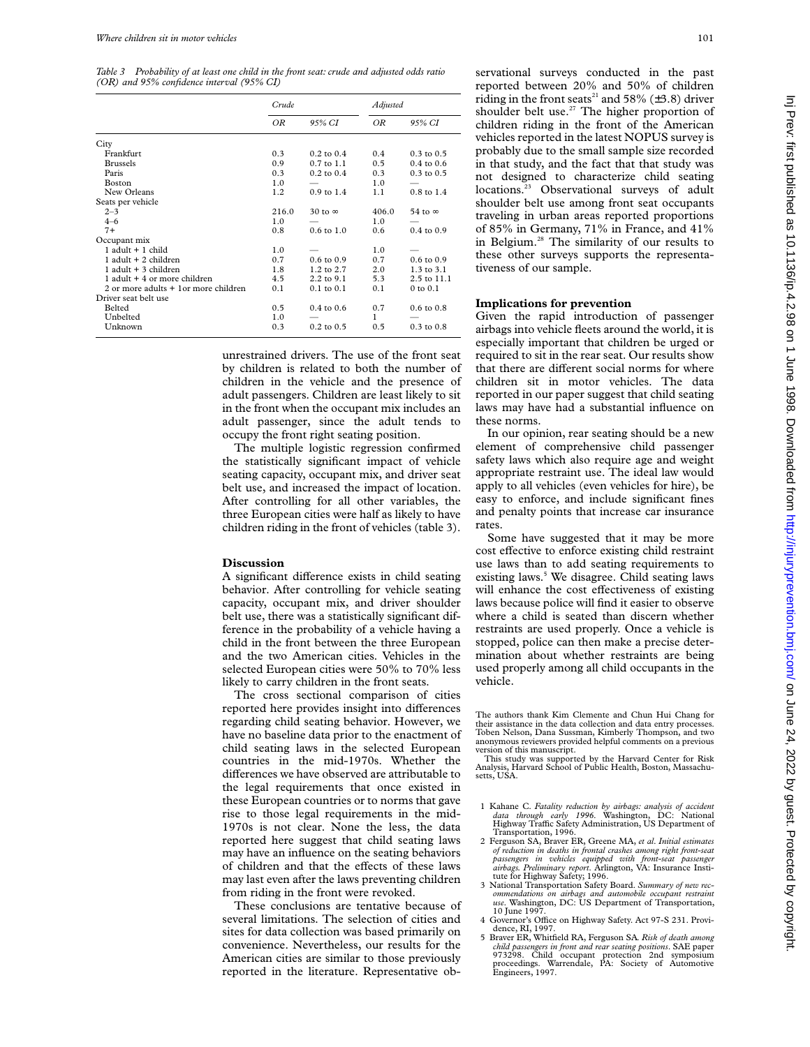*Table 3 Probability of at least one child in the front seat: crude and adjusted odds ratio (OR) and 95% confidence interval (95% CI)*

|                                       | Crude |                       | Adjusted      |                       |
|---------------------------------------|-------|-----------------------|---------------|-----------------------|
|                                       | OR    | 95% CI                | ΟR            | 95% CI                |
| City                                  |       |                       |               |                       |
| Frankfurt                             | 0.3   | $0.2 \text{ to } 0.4$ | 0.4           | $0.3$ to $0.5$        |
| <b>Brussels</b>                       | 0.9   | $0.7$ to $1.1$        | $0.5^{\circ}$ | $0.4$ to $0.6$        |
| Paris                                 | 0.3   | $0.2$ to $0.4$        | 0.3           | $0.3$ to $0.5$        |
| Boston                                | 1.0   |                       | 1.0           |                       |
| New Orleans                           | 1.2   | $0.9$ to $1.4$        | 1.1           | $0.8$ to $1.4$        |
| Seats per vehicle                     |       |                       |               |                       |
| $2 - 3$                               | 216.0 | 30 to $\infty$        | 406.0         | 54 to $\infty$        |
| $4 - 6$                               | 1.0   |                       | 1.0           |                       |
| $7+$                                  | 0.8   | $0.6 \text{ to } 1.0$ | 0.6           | $0.4$ to $0.9$        |
| Occupant mix                          |       |                       |               |                       |
| $1$ adult $+1$ child                  | 1.0   |                       | 1.0           |                       |
| $1$ adult $+2$ children               | 0.7   | $0.6 \text{ to } 0.9$ | 0.7           | $0.6 \text{ to } 0.9$ |
| $1$ adult $+3$ children               | 1.8   | 1.2 to 2.7            | 2.0           | 1.3 to 3.1            |
| $1$ adult $+4$ or more children       | 4.5   | 2.2 to 9.1            | 5.3           | 2.5 to 11.1           |
| 2 or more adults + 1 or more children | 0.1   | $0.1$ to $0.1$        | 0.1           | $0$ to $0.1$          |
| Driver seat belt use                  |       |                       |               |                       |
| Belted                                | 0.5   | $0.4$ to $0.6$        | 0.7           | $0.6$ to $0.8$        |
| Unbelted                              | 1.0   |                       | 1             |                       |
| Unknown                               | 0.3   | $0.2$ to $0.5$        | 0.5           | $0.3$ to $0.8$        |

unrestrained drivers. The use of the front seat by children is related to both the number of children in the vehicle and the presence of adult passengers. Children are least likely to sit in the front when the occupant mix includes an adult passenger, since the adult tends to occupy the front right seating position.

The multiple logistic regression confirmed the statistically significant impact of vehicle seating capacity, occupant mix, and driver seat belt use, and increased the impact of location. After controlling for all other variables, the three European cities were half as likely to have children riding in the front of vehicles (table 3).

### **Discussion**

A significant difference exists in child seating behavior. After controlling for vehicle seating capacity, occupant mix, and driver shoulder belt use, there was a statistically significant difference in the probability of a vehicle having a child in the front between the three European and the two American cities. Vehicles in the selected European cities were 50% to 70% less likely to carry children in the front seats.

The cross sectional comparison of cities reported here provides insight into differences regarding child seating behavior. However, we have no baseline data prior to the enactment of child seating laws in the selected European countries in the mid-1970s. Whether the differences we have observed are attributable to the legal requirements that once existed in these European countries or to norms that gave rise to those legal requirements in the mid-1970s is not clear. None the less, the data reported here suggest that child seating laws may have an influence on the seating behaviors of children and that the effects of these laws may last even after the laws preventing children from riding in the front were revoked.

These conclusions are tentative because of several limitations. The selection of cities and sites for data collection was based primarily on convenience. Nevertheless, our results for the American cities are similar to those previously reported in the literature. Representative observational surveys conducted in the past reported between 20% and 50% of children riding in the front seats<sup>21</sup> and 58% ( $\pm$ 3.8) driver shoulder belt use.<sup>27</sup> The higher proportion of children riding in the front of the American vehicles reported in the latest NOPUS survey is probably due to the small sample size recorded in that study, and the fact that that study was not designed to characterize child seating locations.<sup>23</sup> Observational surveys of adult shoulder belt use among front seat occupants traveling in urban areas reported proportions of 85% in Germany, 71% in France, and 41% in Belgium.28 The similarity of our results to these other surveys supports the representativeness of our sample.

## **Implications for prevention**

Given the rapid introduction of passenger airbags into vehicle fleets around the world, it is especially important that children be urged or required to sit in the rear seat. Our results show that there are different social norms for where children sit in motor vehicles. The data reported in our paper suggest that child seating laws may have had a substantial influence on these norms.

In our opinion, rear seating should be a new element of comprehensive child passenger safety laws which also require age and weight appropriate restraint use. The ideal law would apply to all vehicles (even vehicles for hire), be easy to enforce, and include significant fines and penalty points that increase car insurance rates.

Some have suggested that it may be more cost effective to enforce existing child restraint use laws than to add seating requirements to existing laws.<sup>5</sup> We disagree. Child seating laws will enhance the cost effectiveness of existing laws because police will find it easier to observe where a child is seated than discern whether restraints are used properly. Once a vehicle is stopped, police can then make a precise determination about whether restraints are being used properly among all child occupants in the vehicle.

The authors thank Kim Clemente and Chun Hui Chang for their assistance in the data collection and data entry processes. Toben Nelson, Dana Sussman, Kimberly Thompson, and two anonymous reviewers provided helpful comments on a previous version of this manuscript.

This study was supported by the Harvard Center for Risk Analysis, Harvard School of Public Health, Boston, Massachusetts, USA.

- 1 Kahane C. Fatality reduction by airbags: analysis of accident<br>data through early 1996. Washington, DC: National<br>Highway Traffic Safety Administration, US Department of Transportation, 1996.
- 2 Ferguson SA, Braver ER, Greene MA, *et al*. *Initial estimates of reduction in deaths in frontal crashes among right front-seat passengers in vehicles equipped with front-seat passenger airbags. Preliminary report*. Arlington, VA: Insurance Insti-tute for Highway Safety; 1996.
- 3 National Transportation Safety Board. *Summary of new rec-ommendations on airbags and automobile occupant restraint use*. Washington, DC: US Department of Transportation, 10 June 1997.
- 4 Governor's Office on Highway Safety. Act 97-S 231. Providence, RI, 1997.
- 5 Braver ER, Whitfield RA, Ferguson SA*. Risk of death among child passengers in front and rear seating positions*. SAE paper 973298. Child occupant protection 2nd symposium proceedings. Warrendale, PA: Society of Automotive Engineers, 1997.